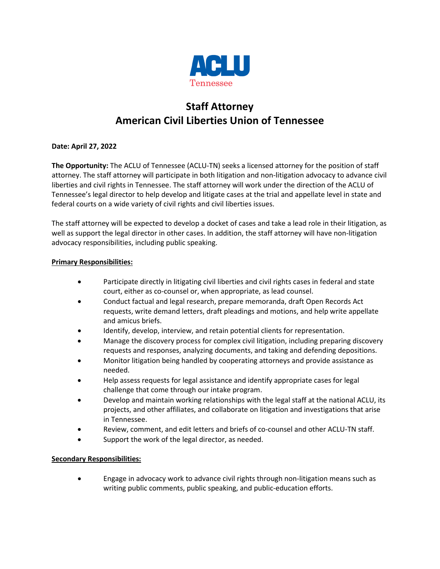

# **Staff Attorney American Civil Liberties Union of Tennessee**

## **Date: April 27, 2022**

**The Opportunity:** The ACLU of Tennessee (ACLU-TN) seeks a licensed attorney for the position of staff attorney. The staff attorney will participate in both litigation and non-litigation advocacy to advance civil liberties and civil rights in Tennessee. The staff attorney will work under the direction of the ACLU of Tennessee's legal director to help develop and litigate cases at the trial and appellate level in state and federal courts on a wide variety of civil rights and civil liberties issues.

The staff attorney will be expected to develop a docket of cases and take a lead role in their litigation, as well as support the legal director in other cases. In addition, the staff attorney will have non-litigation advocacy responsibilities, including public speaking.

## **Primary Responsibilities:**

- Participate directly in litigating civil liberties and civil rights cases in federal and state court, either as co-counsel or, when appropriate, as lead counsel.
- Conduct factual and legal research, prepare memoranda, draft Open Records Act requests, write demand letters, draft pleadings and motions, and help write appellate and amicus briefs.
- Identify, develop, interview, and retain potential clients for representation.
- Manage the discovery process for complex civil litigation, including preparing discovery requests and responses, analyzing documents, and taking and defending depositions.
- Monitor litigation being handled by cooperating attorneys and provide assistance as needed.
- Help assess requests for legal assistance and identify appropriate cases for legal challenge that come through our intake program.
- Develop and maintain working relationships with the legal staff at the national ACLU, its projects, and other affiliates, and collaborate on litigation and investigations that arise in Tennessee.
- Review, comment, and edit letters and briefs of co-counsel and other ACLU-TN staff.
- Support the work of the legal director, as needed.

#### **Secondary Responsibilities:**

• Engage in advocacy work to advance civil rights through non-litigation means such as writing public comments, public speaking, and public-education efforts.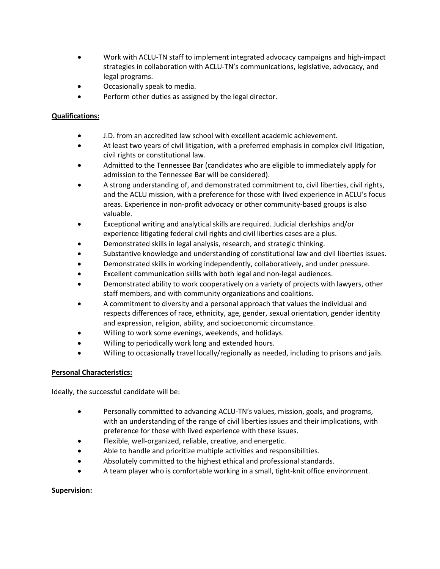- Work with ACLU-TN staff to implement integrated advocacy campaigns and high-impact strategies in collaboration with ACLU-TN's communications, legislative, advocacy, and legal programs.
- Occasionally speak to media.
- Perform other duties as assigned by the legal director.

# **Qualifications:**

- J.D. from an accredited law school with excellent academic achievement.
- At least two years of civil litigation, with a preferred emphasis in complex civil litigation, civil rights or constitutional law.
- Admitted to the Tennessee Bar (candidates who are eligible to immediately apply for admission to the Tennessee Bar will be considered).
- A strong understanding of, and demonstrated commitment to, civil liberties, civil rights, and the ACLU mission, with a preference for those with lived experience in ACLU's focus areas. Experience in non-profit advocacy or other community-based groups is also valuable.
- Exceptional writing and analytical skills are required. Judicial clerkships and/or experience litigating federal civil rights and civil liberties cases are a plus.
- Demonstrated skills in legal analysis, research, and strategic thinking.
- Substantive knowledge and understanding of constitutional law and civil liberties issues.
- Demonstrated skills in working independently, collaboratively, and under pressure.
- Excellent communication skills with both legal and non-legal audiences.
- Demonstrated ability to work cooperatively on a variety of projects with lawyers, other staff members, and with community organizations and coalitions.
- A commitment to diversity and a personal approach that values the individual and respects differences of race, ethnicity, age, gender, sexual orientation, gender identity and expression, religion, ability, and socioeconomic circumstance.
- Willing to work some evenings, weekends, and holidays.
- Willing to periodically work long and extended hours.
- Willing to occasionally travel locally/regionally as needed, including to prisons and jails.

# **Personal Characteristics:**

Ideally, the successful candidate will be:

- Personally committed to advancing ACLU-TN's values, mission, goals, and programs, with an understanding of the range of civil liberties issues and their implications, with preference for those with lived experience with these issues.
- Flexible, well-organized, reliable, creative, and energetic.
- Able to handle and prioritize multiple activities and responsibilities.
- Absolutely committed to the highest ethical and professional standards.
- A team player who is comfortable working in a small, tight-knit office environment.

# **Supervision:**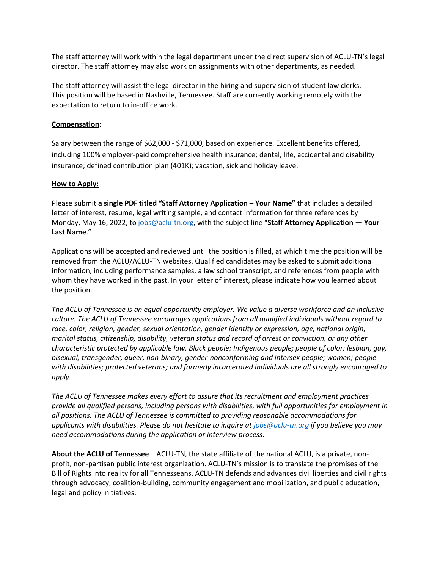The staff attorney will work within the legal department under the direct supervision of ACLU-TN's legal director. The staff attorney may also work on assignments with other departments, as needed.

The staff attorney will assist the legal director in the hiring and supervision of student law clerks. This position will be based in Nashville, Tennessee. Staff are currently working remotely with the expectation to return to in-office work.

#### **Compensation:**

Salary between the range of \$62,000 - \$71,000, based on experience. Excellent benefits offered, including 100% employer-paid comprehensive health insurance; dental, life, accidental and disability insurance; defined contribution plan (401K); vacation, sick and holiday leave.

## **How to Apply:**

Please submit **a single PDF titled "Staff Attorney Application – Your Name"** that includes a detailed letter of interest, resume, legal writing sample, and contact information for three references by Monday, May 16, 2022, to [jobs@aclu-tn.org,](mailto:jobs@aclu-tn.org) with the subject line "**Staff Attorney Application — Your Last Name**."

Applications will be accepted and reviewed until the position is filled, at which time the position will be removed from the ACLU/ACLU-TN websites. Qualified candidates may be asked to submit additional information, including performance samples, a law school transcript, and references from people with whom they have worked in the past. In your letter of interest, please indicate how you learned about the position.

*The ACLU of Tennessee is an equal opportunity employer. We value a diverse workforce and an inclusive culture. The ACLU of Tennessee encourages applications from all qualified individuals without regard to race, color, religion, gender, sexual orientation, gender identity or expression, age, national origin, marital status, citizenship, disability, veteran status and record of arrest or conviction, or any other characteristic protected by applicable law. Black people; Indigenous people; people of color; lesbian, gay, bisexual, transgender, queer, non-binary, gender-nonconforming and intersex people; women; people with disabilities; protected veterans; and formerly incarcerated individuals are all strongly encouraged to apply.*

*The ACLU of Tennessee makes every effort to assure that its recruitment and employment practices provide all qualified persons, including persons with disabilities, with full opportunities for employment in all positions. The ACLU of Tennessee is committed to providing reasonable accommodations for applicants with disabilities. Please do not hesitate to inquire at [jobs@aclu-tn.org](mailto:jobs@aclu-tn.org) if you believe you may need accommodations during the application or interview process.* 

**About the ACLU of Tennessee** – ACLU-TN, the state affiliate of the national ACLU, is a private, nonprofit, non-partisan public interest organization. ACLU-TN's mission is to translate the promises of the Bill of Rights into reality for all Tennesseans. ACLU-TN defends and advances civil liberties and civil rights through advocacy, coalition-building, community engagement and mobilization, and public education, legal and policy initiatives.